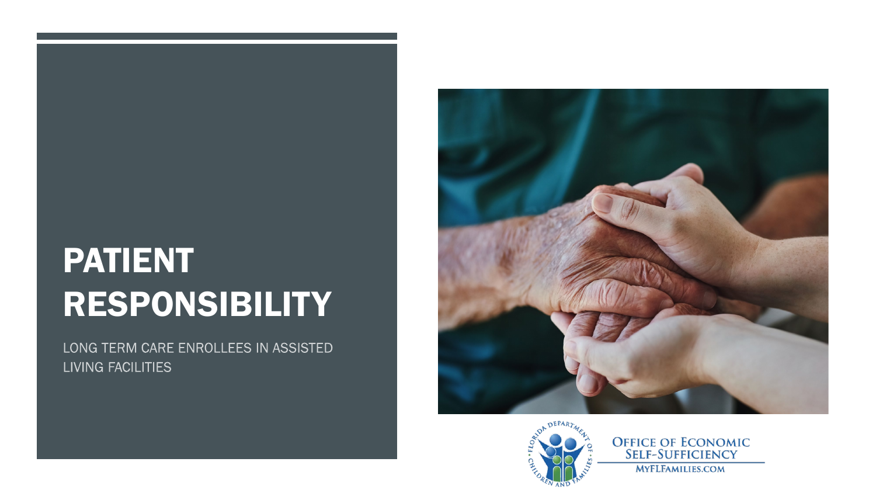# PATIENT RESPONSIBILITY

LONG TERM CARE ENROLLEES IN ASSISTED LIVING FACILITIES





**OFFICE OF ECONOMIC<br>SELF-SUFFICIENCY MYFLFAMILIES.COM**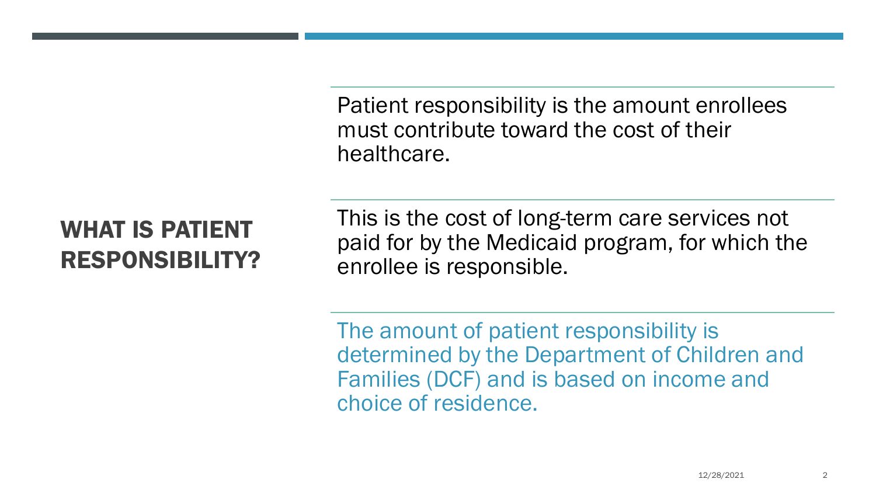Patient responsibility is the amount enrollees must contribute toward the cost of their healthcare.

# WHAT IS PATIENT RESPONSIBILITY?

This is the cost of long-term care services not paid for by the Medicaid program, for which the enrollee is responsible.

The amount of patient responsibility is determined by the Department of Children and Families (DCF) and is based on income and choice of residence.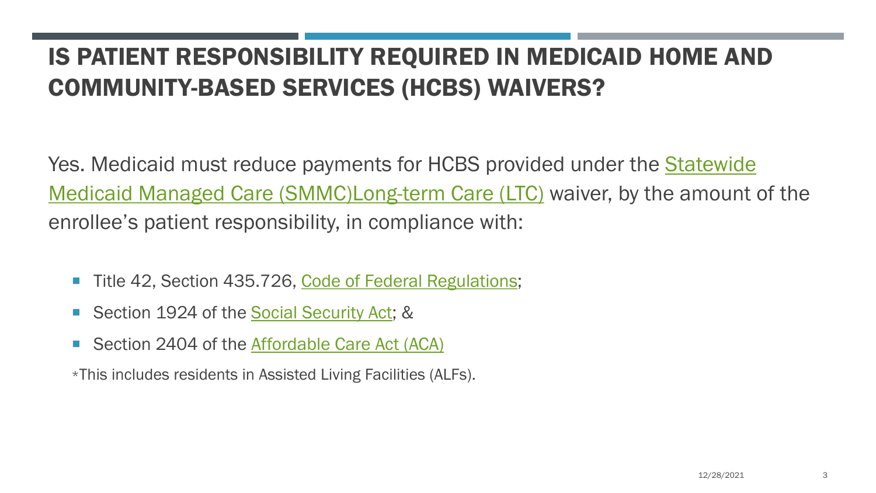# IS PATIENT RESPONSIBILITY REQUIRED IN MEDICAID HOME AND COMMUNITY-BASED SERVICES (HCBS) WAIVERS?

Yes. Medicaid must reduce payments for HCBS provided under the **Statewide** Medicaid Managed Care (SMMC)Long-term Care (LTC) waiver, by the amount of the enrollee's patient responsibility, in compliance with:

- Title 42, Section 435.726, [Code of Federal Regulations](http://www.ecfr.gov/cgi-bin/ECFR?page=browse);
- Section 1924 of the **Social Security Act**; &
- Section 2404 of the [Affordable Care Act \(ACA\)](https://www.congress.gov/111/plaws/publ148/PLAW-111publ148.pdf)

\*This includes residents in Assisted Living Facilities (ALFs).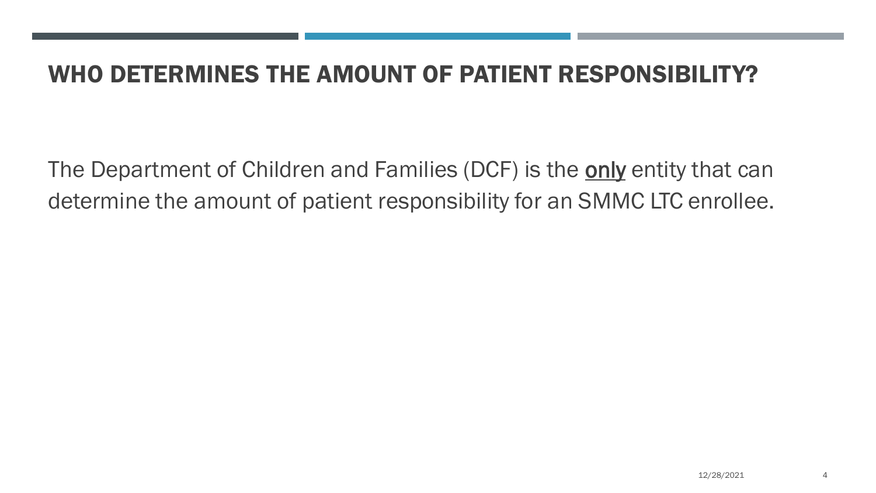#### WHO DETERMINES THE AMOUNT OF PATIENT RESPONSIBILITY?

The Department of Children and Families (DCF) is the only entity that can determine the amount of patient responsibility for an SMMC LTC enrollee.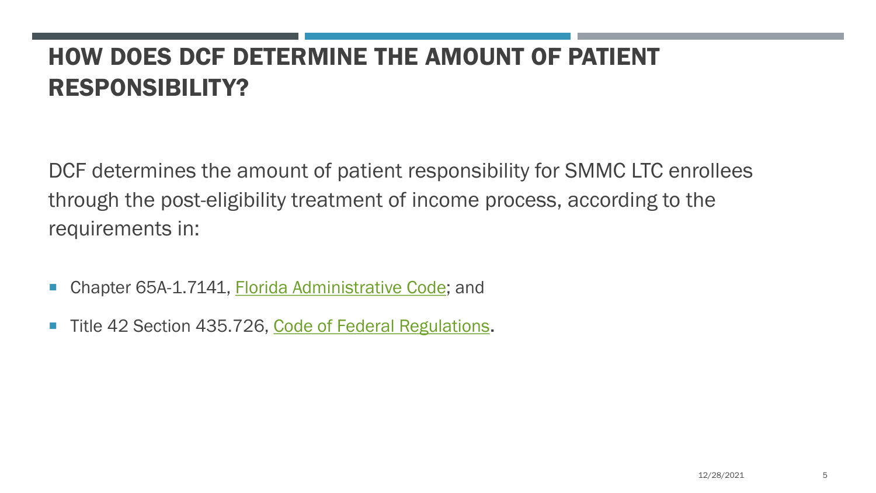# HOW DOES DCF DETERMINE THE AMOUNT OF PATIENT RESPONSIBILITY?

DCF determines the amount of patient responsibility for SMMC LTC enrollees through the post-eligibility treatment of income process, according to the requirements in:

- Chapter 65A-1.7141, [Florida Administrative Code](https://www.flrules.org/Default.asp); and
- Title 42 Section 435.726, [Code of Federal Regulations.](https://www.ecfr.gov/current/title-42/chapter-IV/subchapter-C/part-435/subpart-H?toc=1)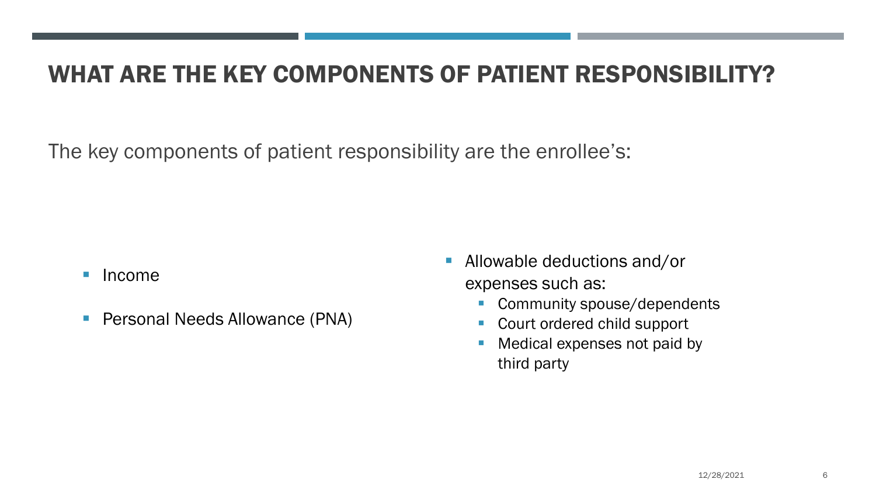## WHAT ARE THE KEY COMPONENTS OF PATIENT RESPONSIBILITY?

The key components of patient responsibility are the enrollee's:

- **Income**
- **Personal Needs Allowance (PNA)**
- **Allowable deductions and/or** expenses such as:
	- Community spouse/dependents
	- Court ordered child support
	- Medical expenses not paid by third party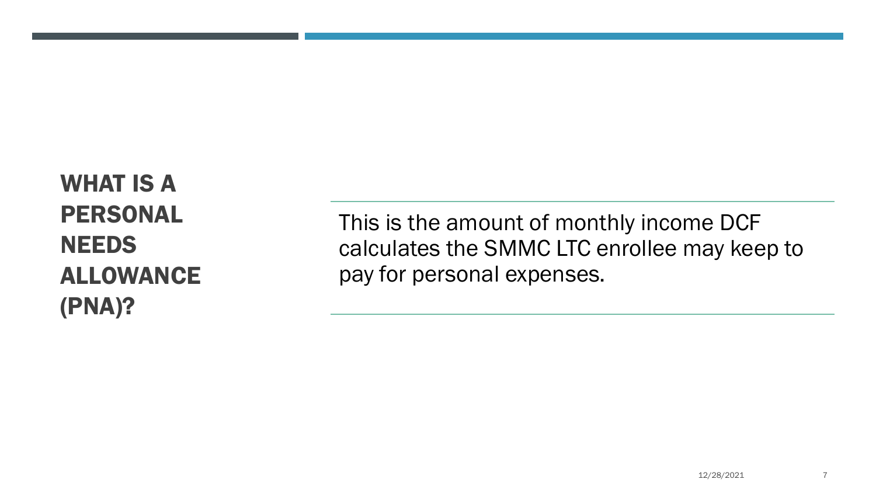WHAT IS A PERSONAL **NEEDS** ALLOWANCE (PNA)?

This is the amount of monthly income DCF calculates the SMMC LTC enrollee may keep to pay for personal expenses.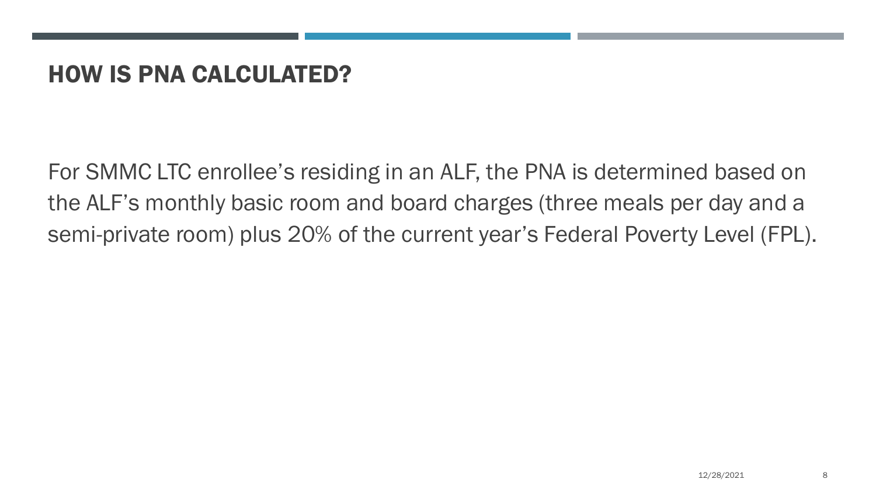#### HOW IS PNA CALCULATED?

For SMMC LTC enrollee's residing in an ALF, the PNA is determined based on the ALF's monthly basic room and board charges (three meals per day and a semi-private room) plus 20% of the current year's Federal Poverty Level (FPL).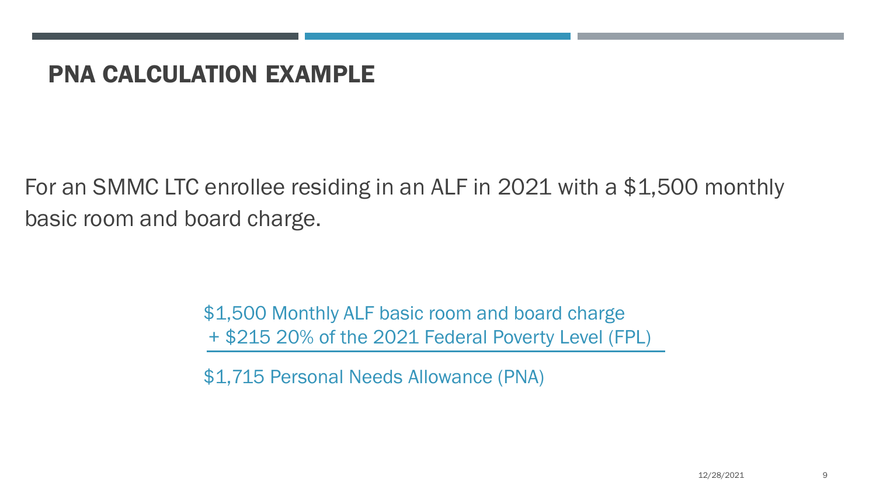#### PNA CALCULATION EXAMPLE

For an SMMC LTC enrollee residing in an ALF in 2021 with a \$1,500 monthly basic room and board charge.

> \$1,500 Monthly ALF basic room and board charge + \$215 20% of the 2021 Federal Poverty Level (FPL)

\$1,715 Personal Needs Allowance (PNA)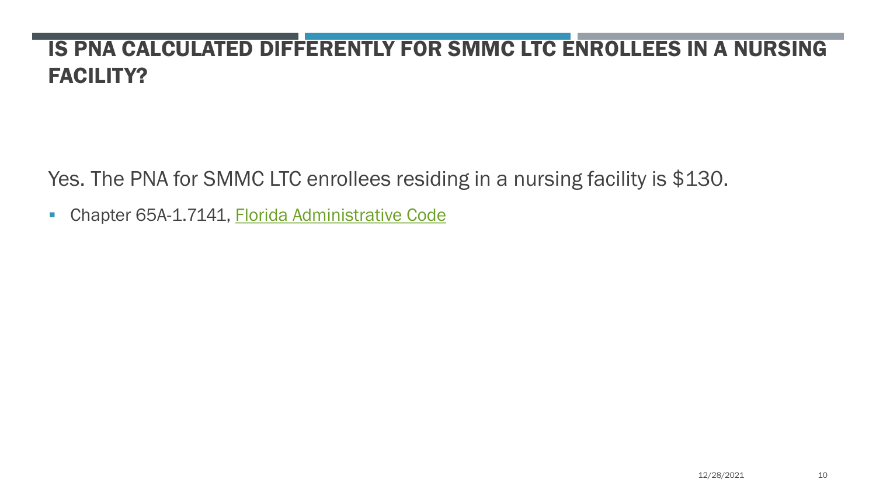### IS PNA CALCULATED DIFFERENTLY FOR SMMC LTC ENROLLEES IN A NURSING FACILITY?

Yes. The PNA for SMMC LTC enrollees residing in a nursing facility is \$130.

**- Chapter 65A-1.7141, [Florida Administrative Code](https://www.flrules.org/Default.asp)**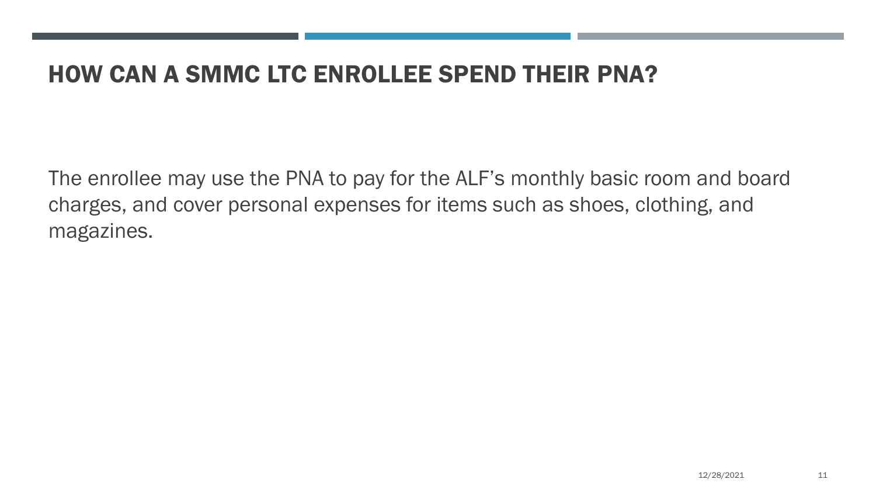#### HOW CAN A SMMC LTC ENROLLEE SPEND THEIR PNA?

The enrollee may use the PNA to pay for the ALF's monthly basic room and board charges, and cover personal expenses for items such as shoes, clothing, and magazines.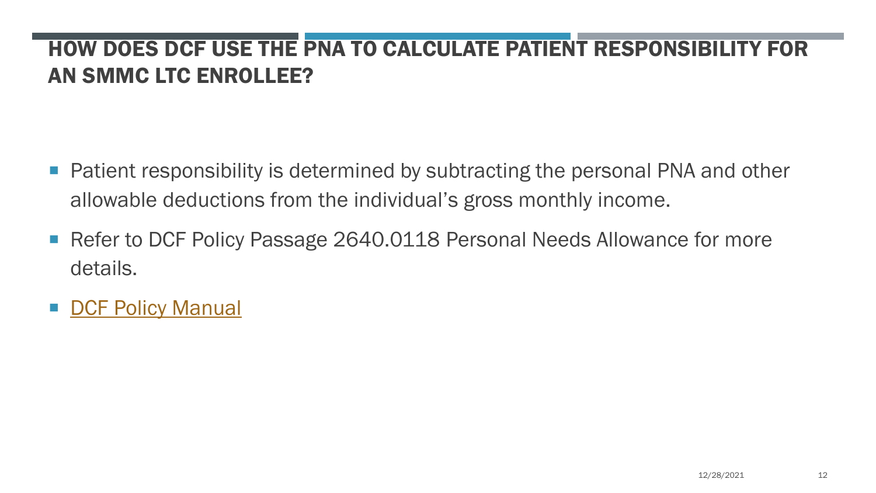#### HOW DOES DCF USE THE PNA TO CALCULATE PATIENT RESPONSIBILITY FOR AN SMMC LTC ENROLLEE?

- **Patient responsibility is determined by subtracting the personal PNA and other** allowable deductions from the individual's gross monthly income.
- Refer to DCF Policy Passage 2640.0118 Personal Needs Allowance for more details.
- [DCF Policy Manual](https://www.myflfamilies.com/service-programs/access/program-policy-manual.shtml)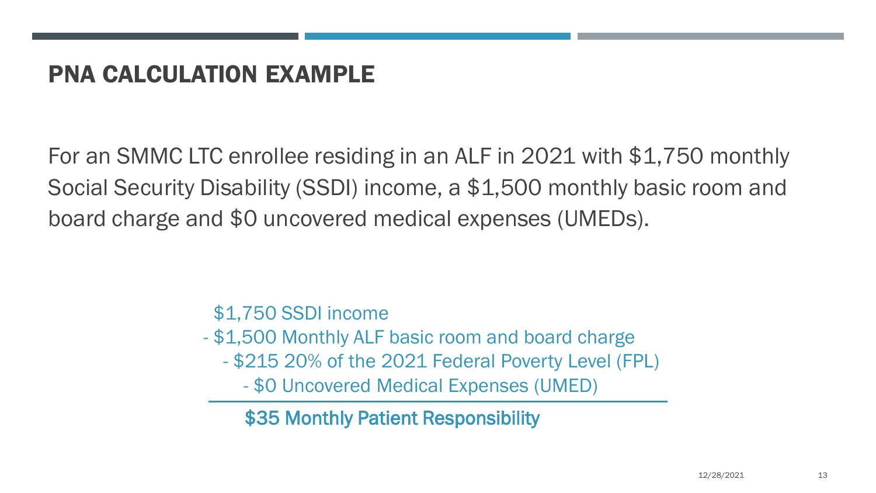## PNA CALCULATION EXAMPLE

For an SMMC LTC enrollee residing in an ALF in 2021 with \$1,750 monthly Social Security Disability (SSDI) income, a \$1,500 monthly basic room and board charge and \$0 uncovered medical expenses (UMEDs).

\$1,750 SSDI income

- \$1,500 Monthly ALF basic room and board charge
	- \$215 20% of the 2021 Federal Poverty Level (FPL)

- \$0 Uncovered Medical Expenses (UMED)

\$35 Monthly Patient Responsibility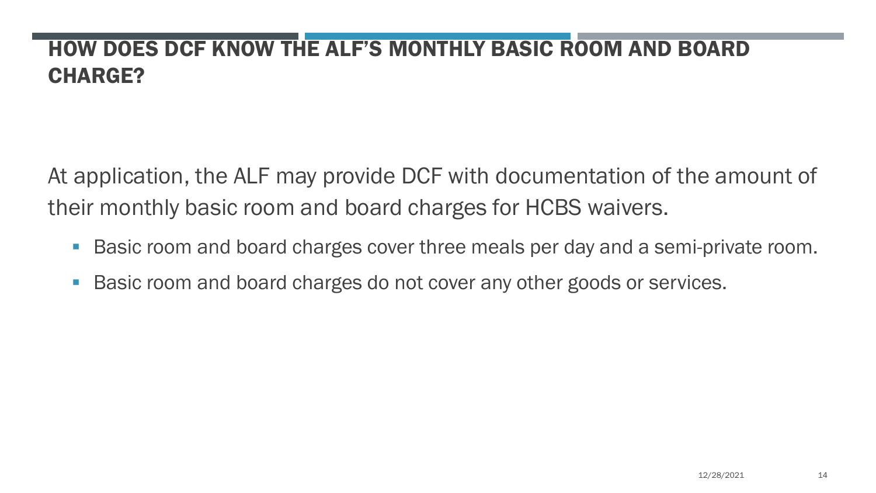## HOW DOES DCF KNOW THE ALF'S MONTHLY BASIC ROOM AND BOARD CHARGE?

At application, the ALF may provide DCF with documentation of the amount of their monthly basic room and board charges for HCBS waivers.

- **Basic room and board charges cover three meals per day and a semi-private room.**
- **Basic room and board charges do not cover any other goods or services.**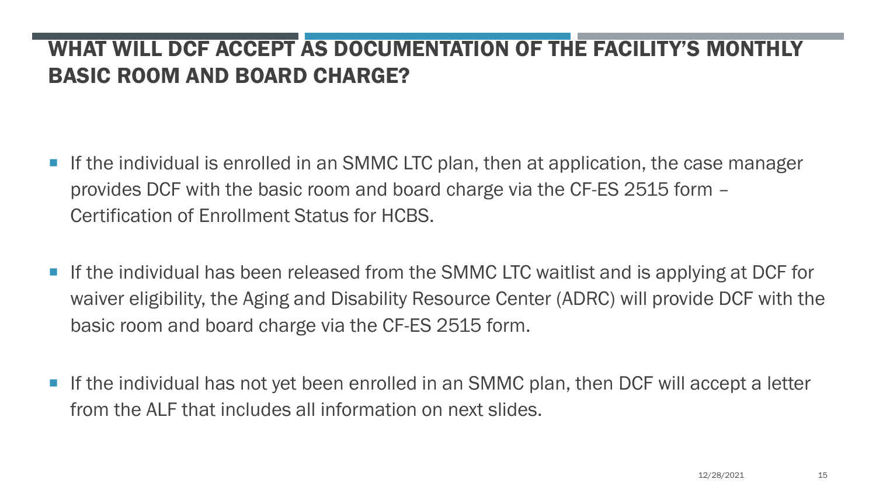#### WHAT WILL DCF ACCEPT AS DOCUMENTATION OF THE FACILITY'S MONTHLY BASIC ROOM AND BOARD CHARGE?

- If the individual is enrolled in an SMMC LTC plan, then at application, the case manager provides DCF with the basic room and board charge via the CF-ES 2515 form – Certification of Enrollment Status for HCBS.
- **If the individual has been released from the SMMC LTC waitlist and is applying at DCF for** waiver eligibility, the Aging and Disability Resource Center (ADRC) will provide DCF with the basic room and board charge via the CF-ES 2515 form.
- **If the individual has not yet been enrolled in an SMMC plan, then DCF will accept a letter** from the ALF that includes all information on next slides.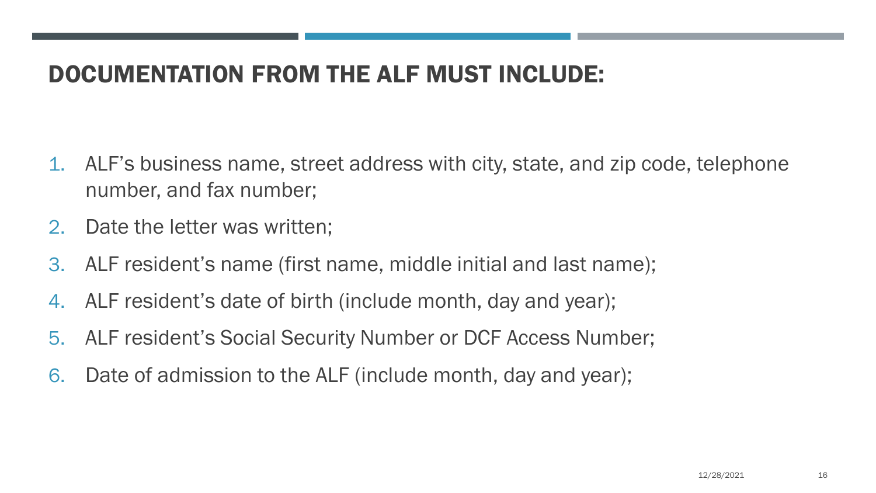## DOCUMENTATION FROM THE ALF MUST INCLUDE:

- 1. ALF's business name, street address with city, state, and zip code, telephone number, and fax number;
- 2. Date the letter was written;
- 3. ALF resident's name (first name, middle initial and last name);
- 4. ALF resident's date of birth (include month, day and year);
- 5. ALF resident's Social Security Number or DCF Access Number;
- 6. Date of admission to the ALF (include month, day and year);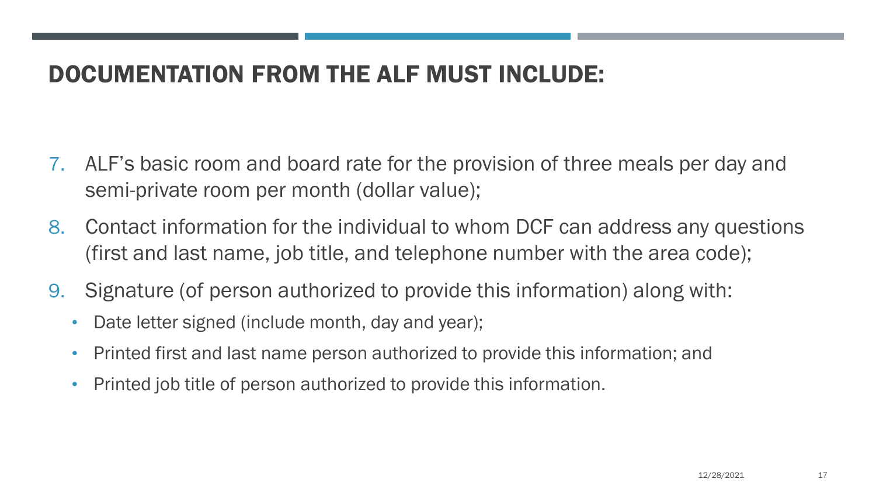## DOCUMENTATION FROM THE ALF MUST INCLUDE:

- 7. ALF's basic room and board rate for the provision of three meals per day and semi-private room per month (dollar value);
- 8. Contact information for the individual to whom DCF can address any questions (first and last name, job title, and telephone number with the area code);
- 9. Signature (of person authorized to provide this information) along with:
	- Date letter signed (include month, day and year);
	- Printed first and last name person authorized to provide this information; and
	- Printed job title of person authorized to provide this information.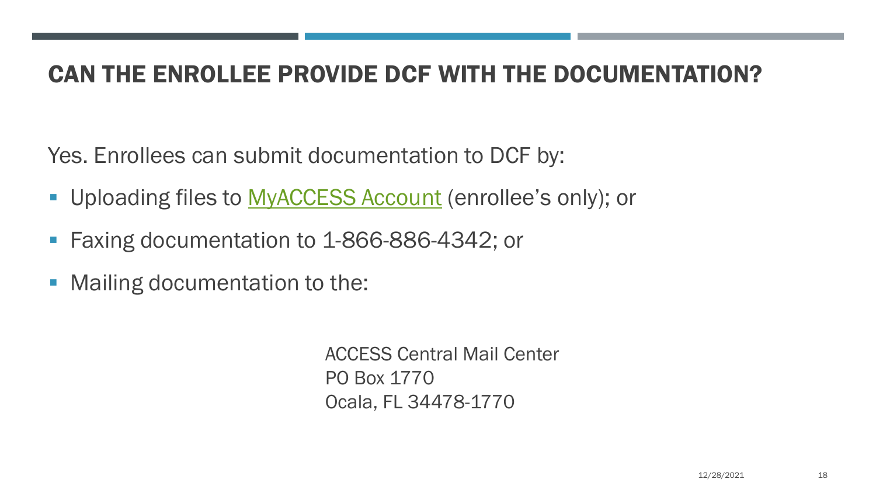## CAN THE ENROLLEE PROVIDE DCF WITH THE DOCUMENTATION?

Yes. Enrollees can submit documentation to DCF by:

- **Uploading files to [MyACCESS Account](https://dcf-access.dcf.state.fl.us/access/scrflhomepage.do?performAction=changeLocale&language=english) (enrollee's only); or**
- **Faxing documentation to 1-866-886-4342; or**
- **Mailing documentation to the:**

ACCESS Central Mail Center PO Box 1770 Ocala, FL 34478-1770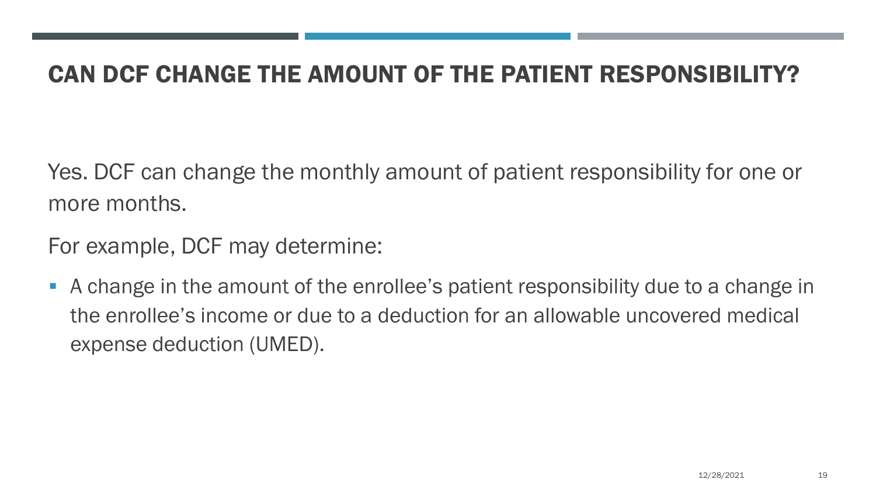### CAN DCF CHANGE THE AMOUNT OF THE PATIENT RESPONSIBILITY?

Yes. DCF can change the monthly amount of patient responsibility for one or more months.

For example, DCF may determine:

 A change in the amount of the enrollee's patient responsibility due to a change in the enrollee's income or due to a deduction for an allowable uncovered medical expense deduction (UMED).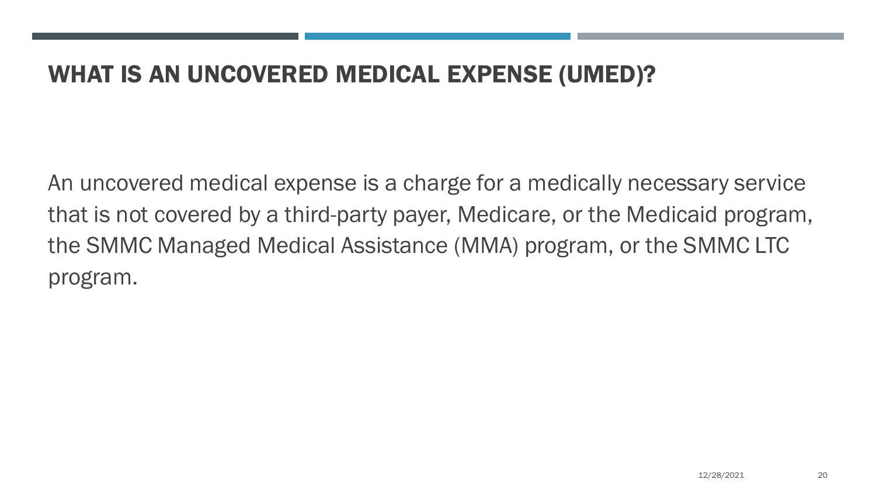#### WHAT IS AN UNCOVERED MEDICAL EXPENSE (UMED)?

An uncovered medical expense is a charge for a medically necessary service that is not covered by a third-party payer, Medicare, or the Medicaid program, the SMMC Managed Medical Assistance (MMA) program, or the SMMC LTC program.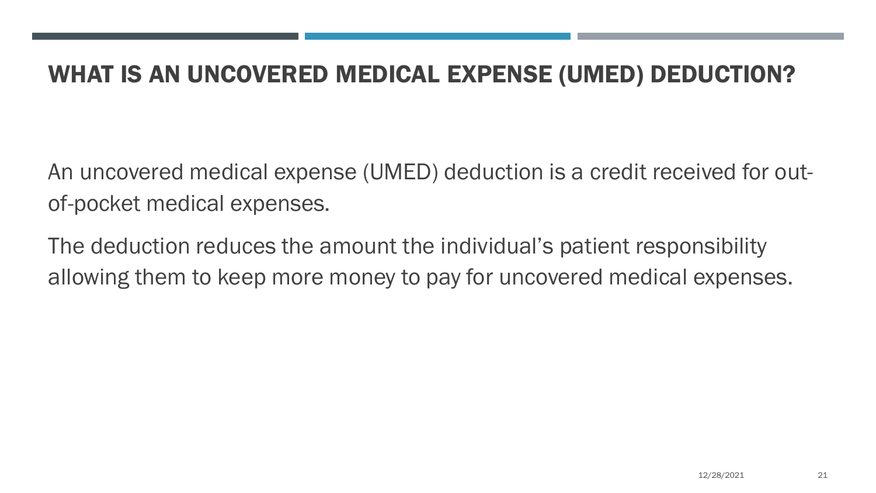#### WHAT IS AN UNCOVERED MEDICAL EXPENSE (UMED) DEDUCTION?

An uncovered medical expense (UMED) deduction is a credit received for outof-pocket medical expenses.

The deduction reduces the amount the individual's patient responsibility allowing them to keep more money to pay for uncovered medical expenses.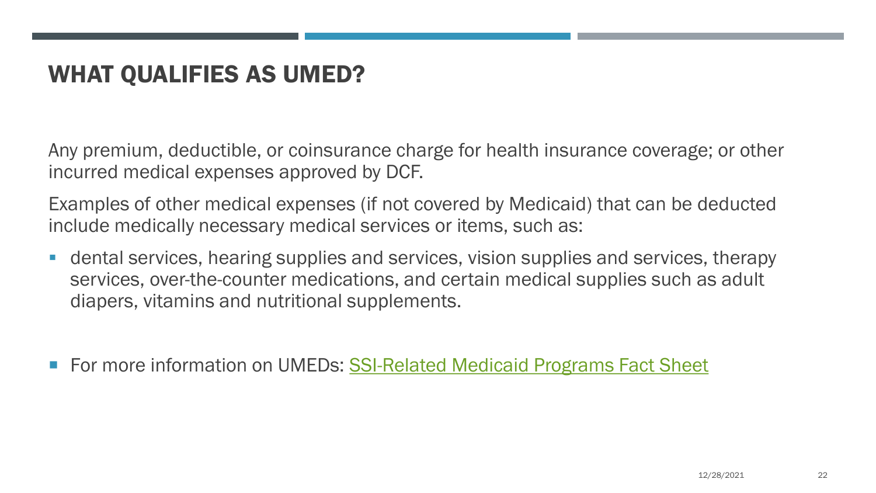## WHAT QUALIFIES AS UMED?

Any premium, deductible, or coinsurance charge for health insurance coverage; or other incurred medical expenses approved by DCF.

Examples of other medical expenses (if not covered by Medicaid) that can be deducted include medically necessary medical services or items, such as:

 dental services, hearing supplies and services, vision supplies and services, therapy services, over-the-counter medications, and certain medical supplies such as adult diapers, vitamins and nutritional supplements.

For more information on UMEDs: [SSI-Related Medicaid Programs Fact Sheet](https://www.myflfamilies.com/service-programs/access/docs/ssifactsheet.pdf)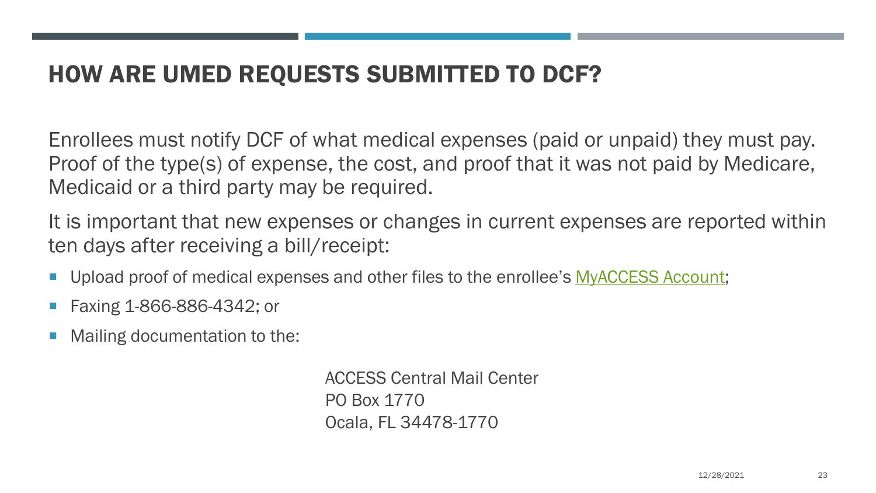## HOW ARE UMED REQUESTS SUBMITTED TO DCF?

Enrollees must notify DCF of what medical expenses (paid or unpaid) they must pay. Proof of the type(s) of expense, the cost, and proof that it was not paid by Medicare, Medicaid or a third party may be required.

It is important that new expenses or changes in current expenses are reported within ten days after receiving a bill/receipt:

- **Upload proof of medical expenses and other files to the enrollee's [MyACCESS Account;](https://dcf-access.dcf.state.fl.us/access/scrflhomepage.do?performAction=changeLocale&language=english)**
- Faxing 1-866-886-4342; or
- Mailing documentation to the:

ACCESS Central Mail Center PO Box 1770 Ocala, FL 34478-1770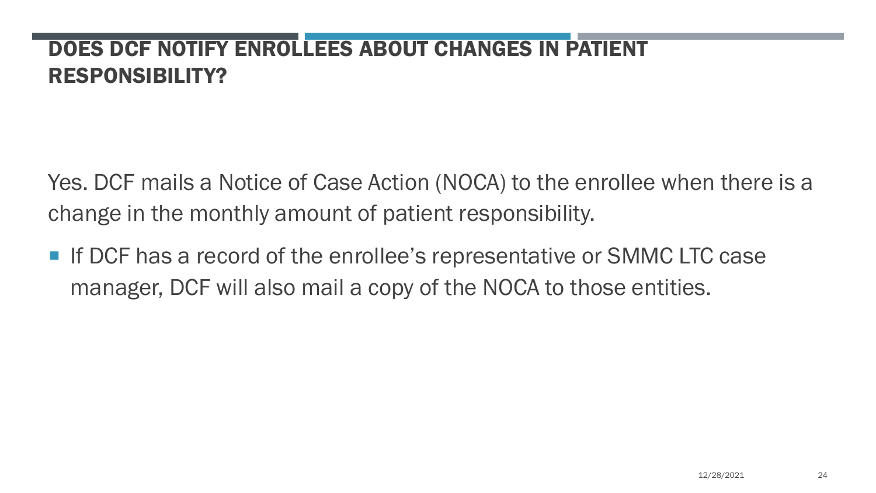#### DOES DCF NOTIFY ENROLLEES ABOUT CHANGES IN PATIENT RESPONSIBILITY?

Yes. DCF mails a Notice of Case Action (NOCA) to the enrollee when there is a change in the monthly amount of patient responsibility.

■ If DCF has a record of the enrollee's representative or SMMC LTC case manager, DCF will also mail a copy of the NOCA to those entities.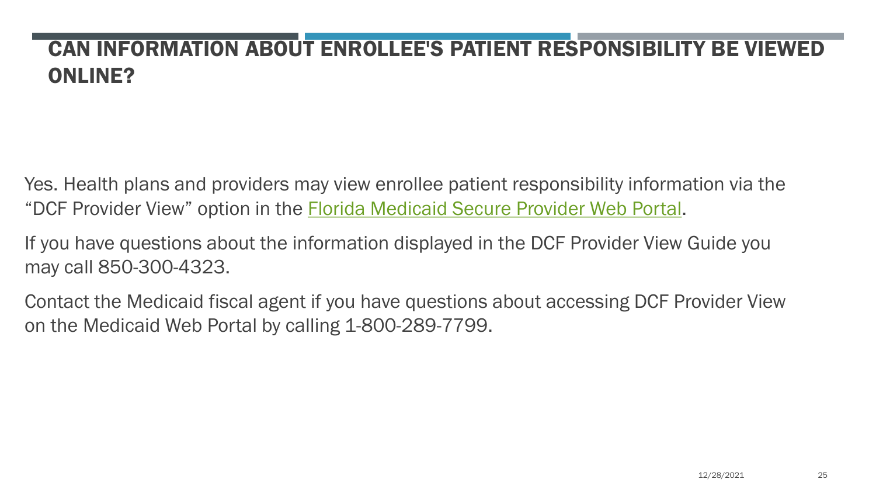## CAN INFORMATION ABOUT ENROLLEE'S PATIENT RESPONSIBILITY BE VIEWED ONLINE?

Yes. Health plans and providers may view enrollee patient responsibility information via the "DCF Provider View" option in the [Florida Medicaid Secure Provider Web Portal](http://portal.flmmis.com/FLPublic/Provider_ProviderServices/tabId/39/Default.aspx).

If you have questions about the information displayed in the DCF Provider View Guide you may call 850-300-4323.

Contact the Medicaid fiscal agent if you have questions about accessing DCF Provider View on the Medicaid Web Portal by calling 1-800-289-7799.